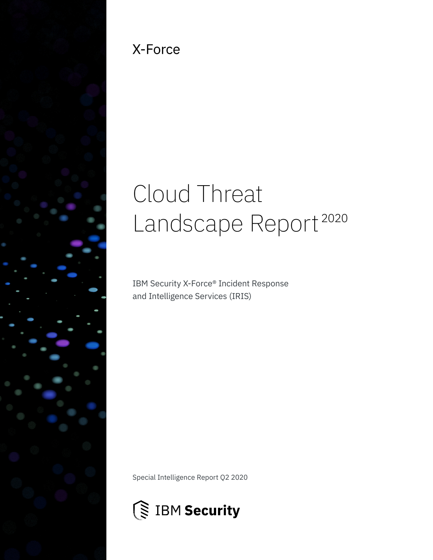

### X-Force

# Cloud Threat Landscape Report<sup>2020</sup>

IBM Security X-Force® Incident Response and Intelligence Services (IRIS)

Special Intelligence Report Q2 2020

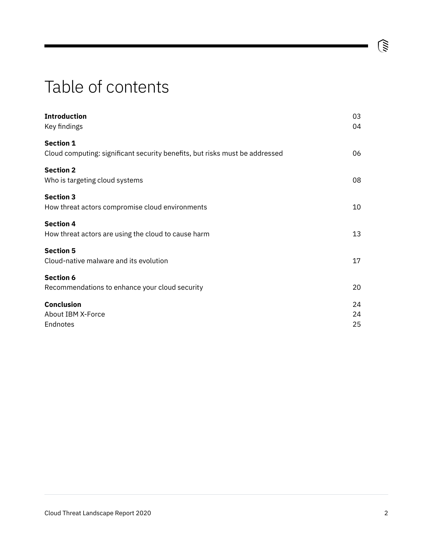### Table of contents

| <b>Introduction</b><br>Key findings                                         | 03<br>04 |
|-----------------------------------------------------------------------------|----------|
| <b>Section 1</b>                                                            |          |
| Cloud computing: significant security benefits, but risks must be addressed | 06       |
| <b>Section 2</b>                                                            |          |
| Who is targeting cloud systems                                              | 08       |
| <b>Section 3</b>                                                            |          |
| How threat actors compromise cloud environments                             | 10       |
| <b>Section 4</b>                                                            |          |
| How threat actors are using the cloud to cause harm                         | 13       |
| <b>Section 5</b>                                                            |          |
| Cloud-native malware and its evolution                                      | 17       |
| <b>Section 6</b>                                                            |          |
| Recommendations to enhance your cloud security                              | 20       |
| <b>Conclusion</b>                                                           | 24       |
| About IBM X-Force                                                           | 24       |
| Endnotes                                                                    | 25       |

 $\widehat{\mathbb{G}}$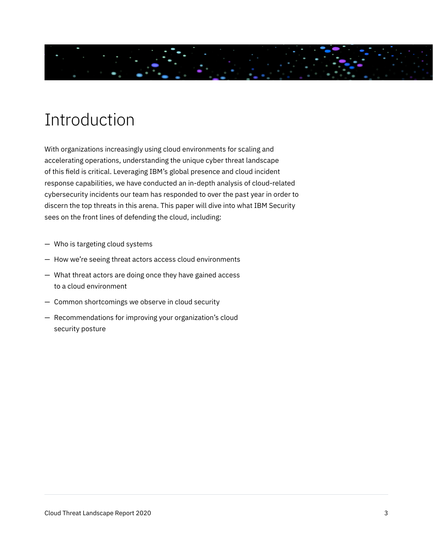<span id="page-2-0"></span>

### Introduction

With organizations increasingly using cloud environments for scaling and accelerating operations, understanding the unique cyber threat landscape of this field is critical. Leveraging IBM's global presence and cloud incident response capabilities, we have conducted an in-depth analysis of cloud-related cybersecurity incidents our team has responded to over the past year in order to discern the top threats in this arena. This paper will dive into what IBM Security sees on the front lines of defending the cloud, including:

- Who is targeting cloud systems
- How we're seeing threat actors access cloud environments
- What threat actors are doing once they have gained access to a cloud environment
- Common shortcomings we observe in cloud security
- Recommendations for improving your organization's cloud security posture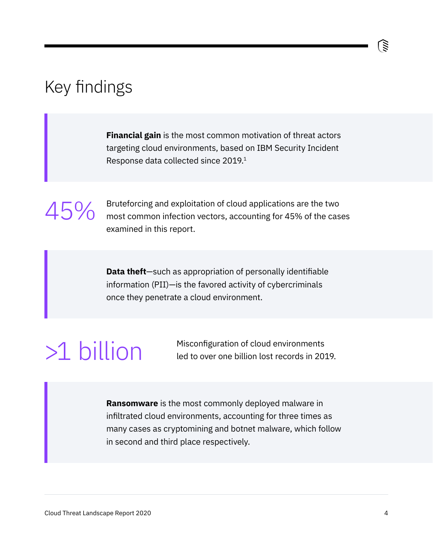### <span id="page-3-0"></span>Key findings

**Financial gain** is the most common motivation of threat actors targeting cloud environments, based on IBM Security Incident Response data collected since 2019.<sup>1</sup>

45%

Bruteforcing and exploitation of cloud applications are the two most common infection vectors, accounting for 45% of the cases examined in this report.

**Data theft**—such as appropriation of personally identifiable information (PII)—is the favored activity of cybercriminals once they penetrate a cloud environment.

>1 billion Misconfiguration of cloud environments<br>Led to over one billion lost records in 20 led to over one billion lost records in 2019.

> **Ransomware** is the most commonly deployed malware in infiltrated cloud environments, accounting for three times as many cases as cryptomining and botnet malware, which follow in second and third place respectively.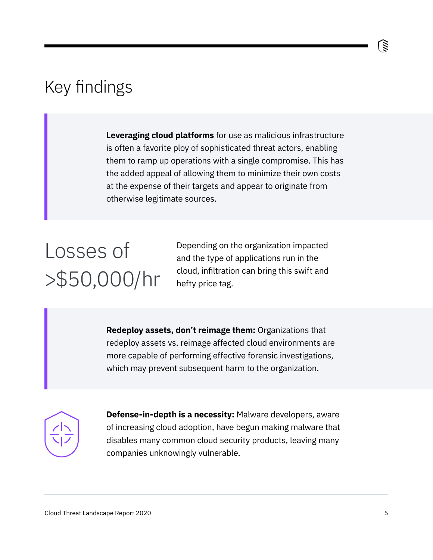### Key findings

**Leveraging cloud platforms** for use as malicious infrastructure is often a favorite ploy of sophisticated threat actors, enabling them to ramp up operations with a single compromise. This has the added appeal of allowing them to minimize their own costs at the expense of their targets and appear to originate from otherwise legitimate sources.

# Losses of >\$50,000/hr

Depending on the organization impacted and the type of applications run in the cloud, infiltration can bring this swift and hefty price tag.

**Redeploy assets, don't reimage them:** Organizations that redeploy assets vs. reimage affected cloud environments are more capable of performing effective forensic investigations, which may prevent subsequent harm to the organization.



**Defense-in-depth is a necessity:** Malware developers, aware of increasing cloud adoption, have begun making malware that disables many common cloud security products, leaving many companies unknowingly vulnerable.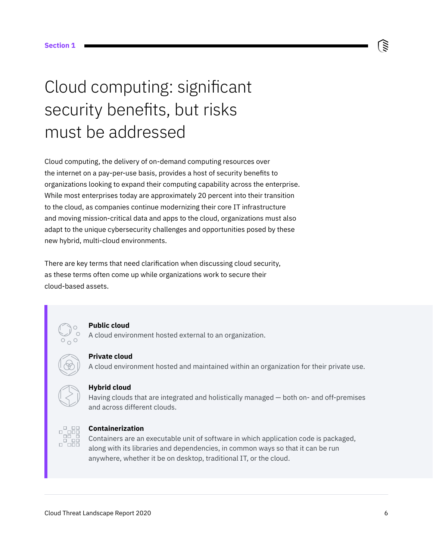## <span id="page-5-0"></span>Cloud computing: significant security benefits, but risks must be addressed

Cloud computing, the delivery of on-demand computing resources over the internet on a pay-per-use basis, provides a host of security benefits to organizations looking to expand their computing capability across the enterprise. While most enterprises today are approximately 20 percent into their transition to the cloud, as companies continue modernizing their core IT infrastructure and moving mission-critical data and apps to the cloud, organizations must also adapt to the unique cybersecurity challenges and opportunities posed by these new hybrid, multi-cloud environments.

There are key terms that need clarification when discussing cloud security, as these terms often come up while organizations work to secure their cloud-based assets.



#### **Public cloud**

A cloud environment hosted external to an organization.

#### **Private cloud**

A cloud environment hosted and maintained within an organization for their private use.



#### **Hybrid cloud**

Having clouds that are integrated and holistically managed — both on- and off-premises and across different clouds.



#### **Containerization**

Containers are an executable unit of software in which application code is packaged, along with its libraries and dependencies, in common ways so that it can be run anywhere, whether it be on desktop, traditional IT, or the cloud.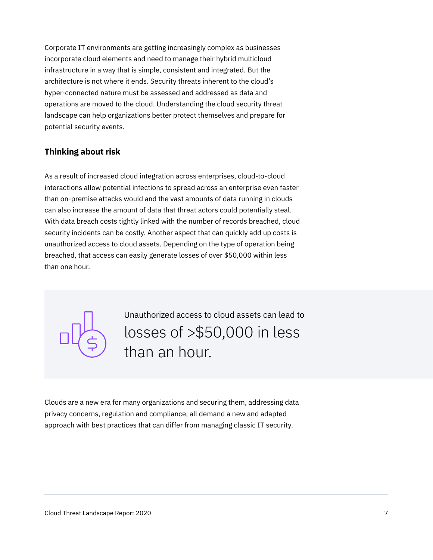Corporate IT environments are getting increasingly complex as businesses incorporate cloud elements and need to manage their hybrid multicloud infrastructure in a way that is simple, consistent and integrated. But the architecture is not where it ends. Security threats inherent to the cloud's hyper-connected nature must be assessed and addressed as data and operations are moved to the cloud. Understanding the cloud security threat landscape can help organizations better protect themselves and prepare for potential security events.

### **Thinking about risk**

As a result of increased cloud integration across enterprises, cloud-to-cloud interactions allow potential infections to spread across an enterprise even faster than on-premise attacks would and the vast amounts of data running in clouds can also increase the amount of data that threat actors could potentially steal. With data breach costs tightly linked with the number of records breached, cloud security incidents can be costly. Another aspect that can quickly add up costs is unauthorized access to cloud assets. Depending on the type of operation being breached, that access can easily generate losses of over \$50,000 within less than one hour.

> losses of >\$50,000 in less than an hour. Unauthorized access to cloud assets can lead to

Clouds are a new era for many organizations and securing them, addressing data privacy concerns, regulation and compliance, all demand a new and adapted approach with best practices that can differ from managing classic IT security.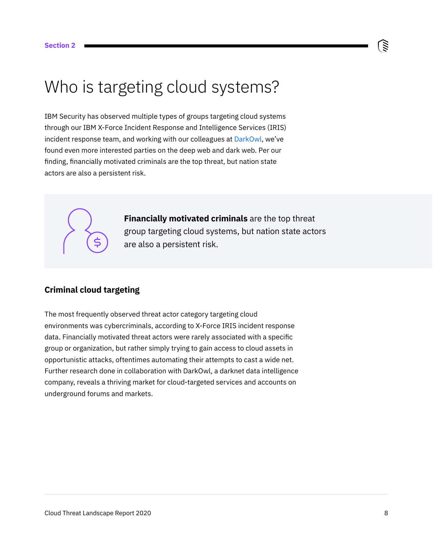### <span id="page-7-0"></span>Who is targeting cloud systems?

IBM Security has observed multiple types of groups targeting cloud systems through our IBM X-Force Incident Response and Intelligence Services (IRIS) incident response team, and working with our colleagues at [DarkOwl](http://darkowl.com/blog-content/darknet-threats-to-cloud-based-platforms-and-applications), we've found even more interested parties on the deep web and dark web. Per our finding, financially motivated criminals are the top threat, but nation state actors are also a persistent risk.



#### **Criminal cloud targeting**

The most frequently observed threat actor category targeting cloud environments was cybercriminals, according to X-Force IRIS incident response data. Financially motivated threat actors were rarely associated with a specific group or organization, but rather simply trying to gain access to cloud assets in opportunistic attacks, oftentimes automating their attempts to cast a wide net. Further research done in collaboration with DarkOwl, a darknet data intelligence company, reveals a thriving market for cloud-targeted services and accounts on underground forums and markets.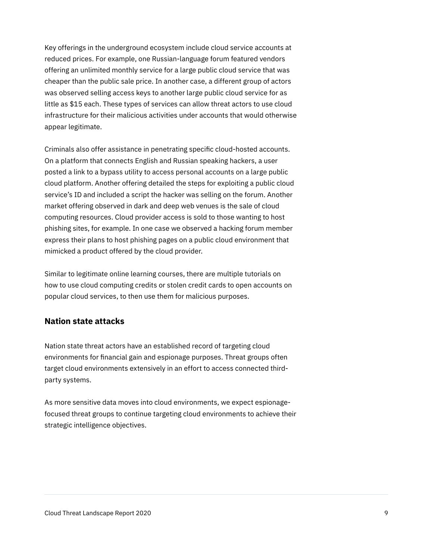Key offerings in the underground ecosystem include cloud service accounts at reduced prices. For example, one Russian-language forum featured vendors offering an unlimited monthly service for a large public cloud service that was cheaper than the public sale price. In another case, a different group of actors was observed selling access keys to another large public cloud service for as little as \$15 each. These types of services can allow threat actors to use cloud infrastructure for their malicious activities under accounts that would otherwise appear legitimate.

Criminals also offer assistance in penetrating specific cloud-hosted accounts. On a platform that connects English and Russian speaking hackers, a user posted a link to a bypass utility to access personal accounts on a large public cloud platform. Another offering detailed the steps for exploiting a public cloud service's ID and included a script the hacker was selling on the forum. Another market offering observed in dark and deep web venues is the sale of cloud computing resources. Cloud provider access is sold to those wanting to host phishing sites, for example. In one case we observed a hacking forum member express their plans to host phishing pages on a public cloud environment that mimicked a product offered by the cloud provider.

Similar to legitimate online learning courses, there are multiple tutorials on how to use cloud computing credits or stolen credit cards to open accounts on popular cloud services, to then use them for malicious purposes.

#### **Nation state attacks**

Nation state threat actors have an established record of targeting cloud environments for financial gain and espionage purposes. Threat groups often target cloud environments extensively in an effort to access connected thirdparty systems.

As more sensitive data moves into cloud environments, we expect espionagefocused threat groups to continue targeting cloud environments to achieve their strategic intelligence objectives.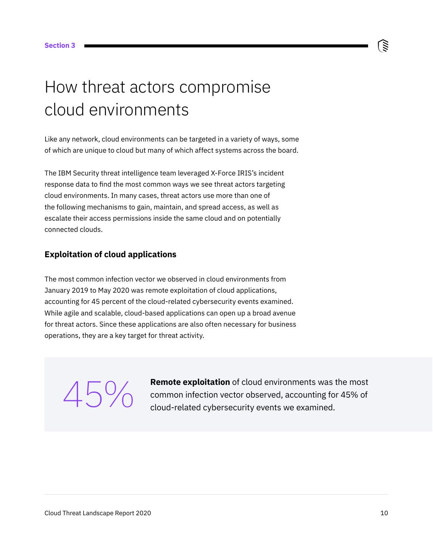### <span id="page-9-0"></span>How threat actors compromise cloud environments

Like any network, cloud environments can be targeted in a variety of ways, some of which are unique to cloud but many of which affect systems across the board.

The IBM Security threat intelligence team leveraged X-Force IRIS's incident response data to find the most common ways we see threat actors targeting cloud environments. In many cases, threat actors use more than one of the following mechanisms to gain, maintain, and spread access, as well as escalate their access permissions inside the same cloud and on potentially connected clouds.

#### **Exploitation of cloud applications**

The most common infection vector we observed in cloud environments from January 2019 to May 2020 was remote exploitation of cloud applications, accounting for 45 percent of the cloud-related cybersecurity events examined. While agile and scalable, cloud-based applications can open up a broad avenue for threat actors. Since these applications are also often necessary for business operations, they are a key target for threat activity.

**Remote exploitation** of cloud environments was the most common infection vector observed, accounting for 45% of<br>cloud-related cybersecurity events we examined.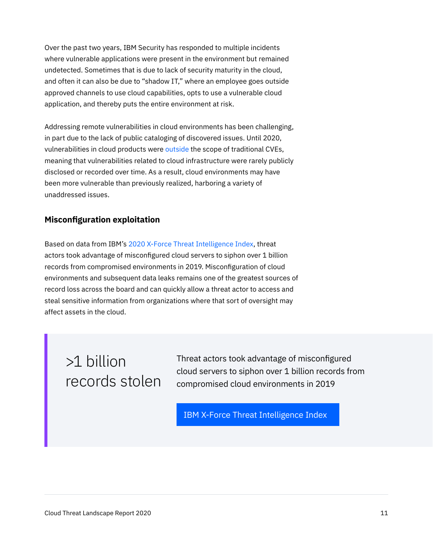Over the past two years, IBM Security has responded to multiple incidents where vulnerable applications were present in the environment but remained undetected. Sometimes that is due to lack of security maturity in the cloud, and often it can also be due to "shadow IT," where an employee goes outside approved channels to use cloud capabilities, opts to use a vulnerable cloud application, and thereby puts the entire environment at risk.

Addressing remote vulnerabilities in cloud environments has been challenging, in part due to the lack of public cataloging of discovered issues. Until 2020, vulnerabilities in cloud products were [outside](https://cloudsecurityalliance.org/blog/2018/08/13/cve-cloud-services-part-1/) the scope of traditional CVEs, meaning that vulnerabilities related to cloud infrastructure were rarely publicly disclosed or recorded over time. As a result, cloud environments may have been more vulnerable than previously realized, harboring a variety of unaddressed issues.

#### **Misconfiguration exploitation**

Based on data from IBM's [2020 X-Force Threat Intelligence Index](https://www.ibm.com/security/data-breach/threat-intelligence?cm_sp=CTO-_-en-US-_-Z81AVOY7), threat actors took advantage of misconfigured cloud servers to siphon over 1 billion records from compromised environments in 2019. Misconfiguration of cloud environments and subsequent data leaks remains one of the greatest sources of record loss across the board and can quickly allow a threat actor to access and steal sensitive information from organizations where that sort of oversight may affect assets in the cloud.

### >1 billion records stolen

Threat actors took advantage of misconfigured cloud servers to siphon over 1 billion records from compromised cloud environments in 2019

[IBM X-Force Threat Intelligence Index](https://www.ibm.com/security/data-breach/threat-intelligence?cm_sp=CTO-_-en-US-_-Z81AVOY7)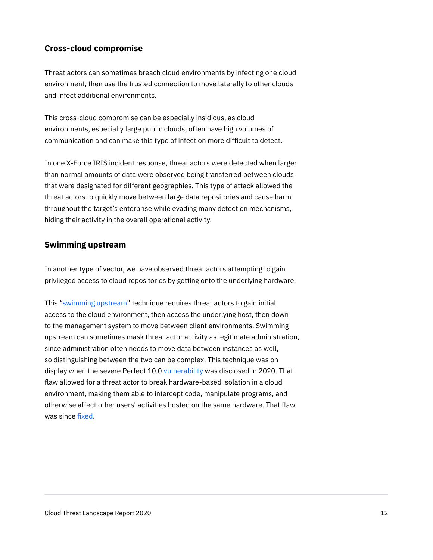#### **Cross-cloud compromise**

Threat actors can sometimes breach cloud environments by infecting one cloud environment, then use the trusted connection to move laterally to other clouds and infect additional environments.

This cross-cloud compromise can be especially insidious, as cloud environments, especially large public clouds, often have high volumes of communication and can make this type of infection more difficult to detect.

In one X-Force IRIS incident response, threat actors were detected when larger than normal amounts of data were observed being transferred between clouds that were designated for different geographies. This type of attack allowed the threat actors to quickly move between large data repositories and cause harm throughout the target's enterprise while evading many detection mechanisms, hiding their activity in the overall operational activity.

#### **Swimming upstream**

In another type of vector, we have observed threat actors attempting to gain privileged access to cloud repositories by getting onto the underlying hardware.

This "[swimming upstream](https://www.wired.com/story/dark-metal-cloud-computers-invisible-malware/)" technique requires threat actors to gain initial access to the cloud environment, then access the underlying host, then down to the management system to move between client environments. Swimming upstream can sometimes mask threat actor activity as legitimate administration, since administration often needs to move data between instances as well, so distinguishing between the two can be complex. This technique was on display when the severe Perfect 10.0 [vulnerability](https://www.forbes.com/sites/zakdoffman/2020/01/30/severe-perfect-100-microsoft-flaw-confirmed-this-is-a-cloud-security-nightmare/#20f11853b4a4) was disclosed in 2020. That flaw allowed for a threat actor to break hardware-based isolation in a cloud environment, making them able to intercept code, manipulate programs, and otherwise affect other users' activities hosted on the same hardware. That flaw was since [fixed](https://threatpost.com/critical-microsoft-remote-desktop-flaw-fixed-in-security-update/148982/).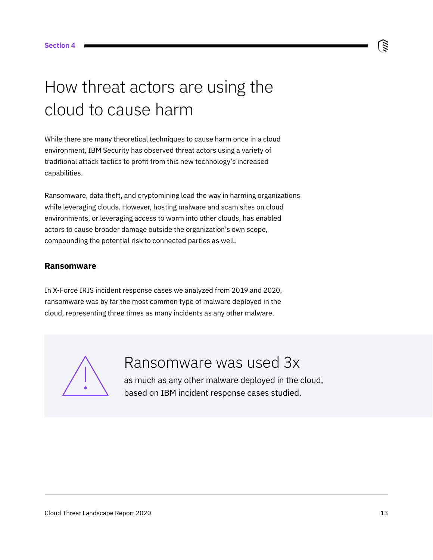### <span id="page-12-0"></span>How threat actors are using the cloud to cause harm

While there are many theoretical techniques to cause harm once in a cloud environment, IBM Security has observed threat actors using a variety of traditional attack tactics to profit from this new technology's increased capabilities.

Ransomware, data theft, and cryptomining lead the way in harming organizations while leveraging clouds. However, hosting malware and scam sites on cloud environments, or leveraging access to worm into other clouds, has enabled actors to cause broader damage outside the organization's own scope, compounding the potential risk to connected parties as well.

#### **Ransomware**

In X-Force IRIS incident response cases we analyzed from 2019 and 2020, ransomware was by far the most common type of malware deployed in the cloud, representing three times as many incidents as any other malware.



### Ransomware was used 3x

as much as any other malware deployed in the cloud, based on IBM incident response cases studied.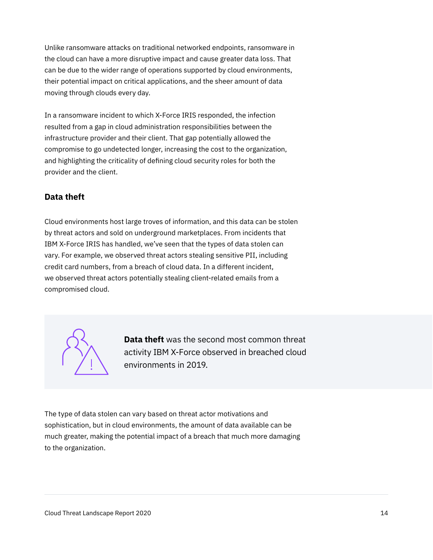Unlike ransomware attacks on traditional networked endpoints, ransomware in the cloud can have a more disruptive impact and cause greater data loss. That can be due to the wider range of operations supported by cloud environments, their potential impact on critical applications, and the sheer amount of data moving through clouds every day.

In a ransomware incident to which X-Force IRIS responded, the infection resulted from a gap in cloud administration responsibilities between the infrastructure provider and their client. That gap potentially allowed the compromise to go undetected longer, increasing the cost to the organization, and highlighting the criticality of defining cloud security roles for both the provider and the client.

#### **Data theft**

Cloud environments host large troves of information, and this data can be stolen by threat actors and sold on underground marketplaces. From incidents that IBM X-Force IRIS has handled, we've seen that the types of data stolen can vary. For example, we observed threat actors stealing sensitive PII, including credit card numbers, from a breach of cloud data. In a different incident, we observed threat actors potentially stealing client-related emails from a compromised cloud.



**Data theft** was the second most common threat activity IBM X-Force observed in breached cloud environments in 2019.

The type of data stolen can vary based on threat actor motivations and sophistication, but in cloud environments, the amount of data available can be much greater, making the potential impact of a breach that much more damaging to the organization.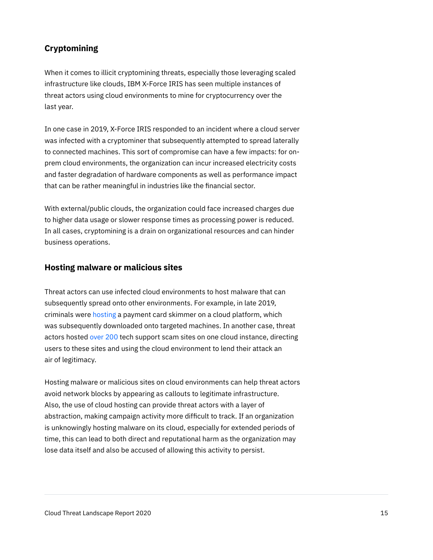#### **Cryptomining**

When it comes to illicit cryptomining threats, especially those leveraging scaled infrastructure like clouds, IBM X-Force IRIS has seen multiple instances of threat actors using cloud environments to mine for cryptocurrency over the last year.

In one case in 2019, X-Force IRIS responded to an incident where a cloud server was infected with a cryptominer that subsequently attempted to spread laterally to connected machines. This sort of compromise can have a few impacts: for onprem cloud environments, the organization can incur increased electricity costs and faster degradation of hardware components as well as performance impact that can be rather meaningful in industries like the financial sector.

With external/public clouds, the organization could face increased charges due to higher data usage or slower response times as processing power is reduced. In all cases, cryptomining is a drain on organizational resources and can hinder business operations.

#### **Hosting malware or malicious sites**

Threat actors can use infected cloud environments to host malware that can subsequently spread onto other environments. For example, in late 2019, criminals were [hosting](https://arstechnica.com/information-technology/2019/12/crooks-host-payment-card-skimming-malware-on-heroku-cloud-platform/) a payment card skimmer on a cloud platform, which was subsequently downloaded onto targeted machines. In another case, threat actors hosted [over 200](https://www.scmagazine.com/home/security-news/malware/cyber-criminals-are-storing-malicious-content-including-malware-and-c2-servers-on-microsofts-azure-cloud-services/) tech support scam sites on one cloud instance, directing users to these sites and using the cloud environment to lend their attack an air of legitimacy.

Hosting malware or malicious sites on cloud environments can help threat actors avoid network blocks by appearing as callouts to legitimate infrastructure. Also, the use of cloud hosting can provide threat actors with a layer of abstraction, making campaign activity more difficult to track. If an organization is unknowingly hosting malware on its cloud, especially for extended periods of time, this can lead to both direct and reputational harm as the organization may lose data itself and also be accused of allowing this activity to persist.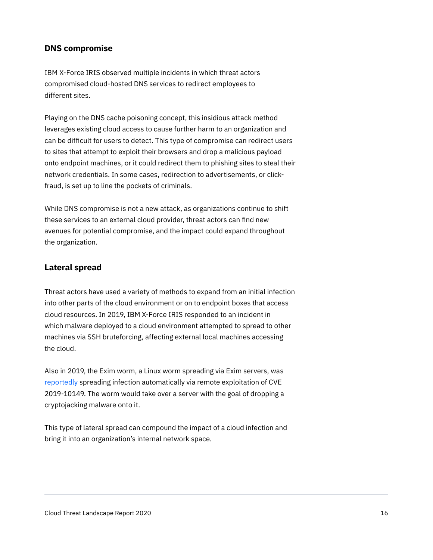#### **DNS compromise**

IBM X-Force IRIS observed multiple incidents in which threat actors compromised cloud-hosted DNS services to redirect employees to different sites.

Playing on the DNS cache poisoning concept, this insidious attack method leverages existing cloud access to cause further harm to an organization and can be difficult for users to detect. This type of compromise can redirect users to sites that attempt to exploit their browsers and drop a malicious payload onto endpoint machines, or it could redirect them to phishing sites to steal their network credentials. In some cases, redirection to advertisements, or clickfraud, is set up to line the pockets of criminals.

While DNS compromise is not a new attack, as organizations continue to shift these services to an external cloud provider, threat actors can find new avenues for potential compromise, and the impact could expand throughout the organization.

#### **Lateral spread**

Threat actors have used a variety of methods to expand from an initial infection into other parts of the cloud environment or on to endpoint boxes that access cloud resources. In 2019, IBM X-Force IRIS responded to an incident in which malware deployed to a cloud environment attempted to spread to other machines via SSH bruteforcing, affecting external local machines accessing the cloud.

Also in 2019, the Exim worm, a Linux worm spreading via Exim servers, was [reportedly](https://www.zdnet.com/article/microsoft-warns-azure-customers-of-exim-worm/) spreading infection automatically via remote exploitation of CVE 2019-10149. The worm would take over a server with the goal of dropping a cryptojacking malware onto it.

This type of lateral spread can compound the impact of a cloud infection and bring it into an organization's internal network space.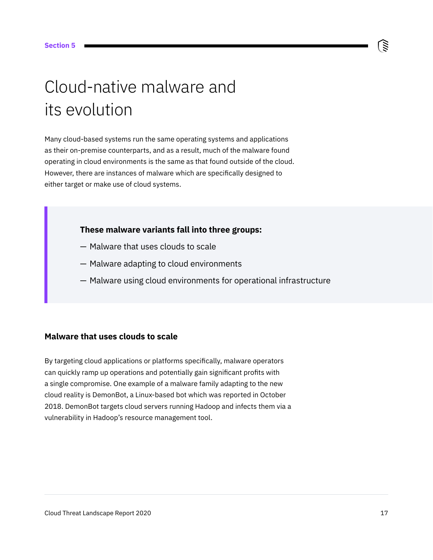## <span id="page-16-0"></span>Cloud-native malware and its evolution

Many cloud-based systems run the same operating systems and applications as their on-premise counterparts, and as a result, much of the malware found operating in cloud environments is the same as that found outside of the cloud. However, there are instances of malware which are specifically designed to either target or make use of cloud systems.

#### **These malware variants fall into three groups:**

- Malware that uses clouds to scale
- Malware adapting to cloud environments
- Malware using cloud environments for operational infrastructure

### **Malware that uses clouds to scale**

By targeting cloud applications or platforms specifically, malware operators can quickly ramp up operations and potentially gain significant profits with a single compromise. One example of a malware family adapting to the new cloud reality is DemonBot, a Linux-based bot which was reported in October 2018. DemonBot targets cloud servers running Hadoop and infects them via a vulnerability in Hadoop's resource management tool.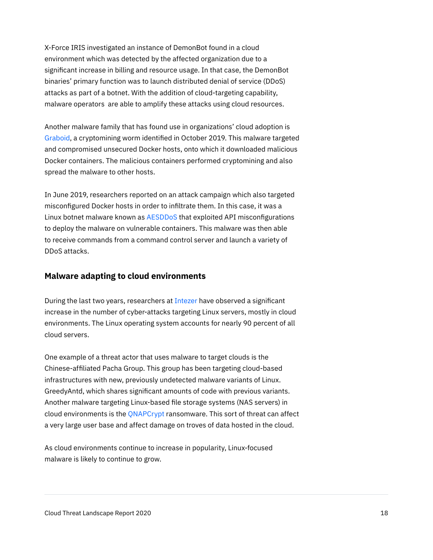X-Force IRIS investigated an instance of DemonBot found in a cloud environment which was detected by the affected organization due to a significant increase in billing and resource usage. In that case, the DemonBot binaries' primary function was to launch distributed denial of service (DDoS) attacks as part of a botnet. With the addition of cloud-targeting capability, malware operators are able to amplify these attacks using cloud resources.

Another malware family that has found use in organizations' cloud adoption is [Graboid,](https://threatpost.com/docker-containers-graboid-crypto-worm/149235/) a cryptomining worm identified in October 2019. This malware targeted and compromised unsecured Docker hosts, onto which it downloaded malicious Docker containers. The malicious containers performed cryptomining and also spread the malware to other hosts.

In June 2019, researchers reported on an attack campaign which also targeted misconfigured Docker hosts in order to infiltrate them. In this case, it was a Linux botnet malware known as **[AESDDoS](https://www.scmagazine.com/home/security-news/cybercrime/trendmicro-researchers-have-discovered-in-the-wild-a-botnet-malware-that-infiltrates-containers-via-exposed-docker-apis/)** that exploited API misconfigurations to deploy the malware on vulnerable containers. This malware was then able to receive commands from a command control server and launch a variety of DDoS attacks.

#### **Malware adapting to cloud environments**

During the last two years, researchers at [Intezer](https://intezer.com/) have observed a significant increase in the number of cyber-attacks targeting Linux servers, mostly in cloud environments. The Linux operating system accounts for nearly 90 percent of all cloud servers.

One example of a threat actor that uses malware to target clouds is the Chinese-affiliated Pacha Group. This group has been targeting cloud-based infrastructures with new, previously undetected malware variants of Linux. GreedyAntd, which shares significant amounts of code with previous variants. Another malware targeting Linux-based file storage systems (NAS servers) in cloud environments is the [QNAPCrypt](https://intezer.com/blog/ransomware/russian-cybercrime-group-fullofdeep-behind-qnapcrypt-ransomware-campaigns/) ransomware. This sort of threat can affect a very large user base and affect damage on troves of data hosted in the cloud.

As cloud environments continue to increase in popularity, Linux-focused malware is likely to continue to grow.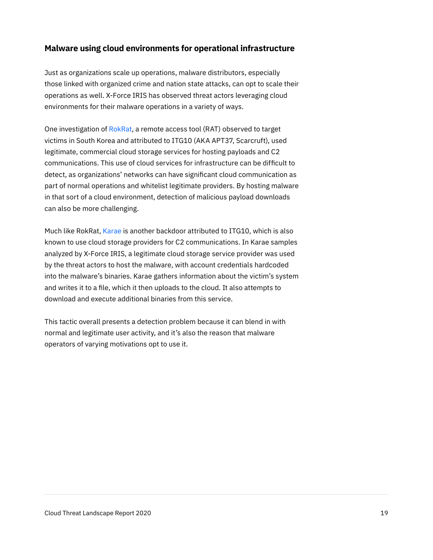#### **Malware using cloud environments for operational infrastructure**

Just as organizations scale up operations, malware distributors, especially those linked with organized crime and nation state attacks, can opt to scale their operations as well. X-Force IRIS has observed threat actors leveraging cloud environments for their malware operations in a variety of ways.

One investigation of [RokRat](https://attack.mitre.org/software/S0240/), a remote access tool (RAT) observed to target victims in South Korea and attributed to ITG10 (AKA APT37, Scarcruft), used legitimate, commercial cloud storage services for hosting payloads and C2 communications. This use of cloud services for infrastructure can be difficult to detect, as organizations' networks can have significant cloud communication as part of normal operations and whitelist legitimate providers. By hosting malware in that sort of a cloud environment, detection of malicious payload downloads can also be more challenging.

Much like RokRat, [Karae](https://attack.mitre.org/software/S0215/) is another backdoor attributed to ITG10, which is also known to use cloud storage providers for C2 communications. In Karae samples analyzed by X-Force IRIS, a legitimate cloud storage service provider was used by the threat actors to host the malware, with account credentials hardcoded into the malware's binaries. Karae gathers information about the victim's system and writes it to a file, which it then uploads to the cloud. It also attempts to download and execute additional binaries from this service.

This tactic overall presents a detection problem because it can blend in with normal and legitimate user activity, and it's also the reason that malware operators of varying motivations opt to use it.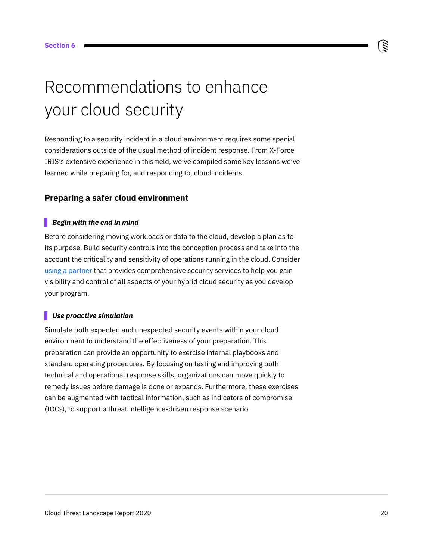### <span id="page-19-0"></span>Recommendations to enhance your cloud security

Responding to a security incident in a cloud environment requires some special considerations outside of the usual method of incident response. From X-Force IRIS's extensive experience in this field, we've compiled some key lessons we've learned while preparing for, and responding to, cloud incidents.

#### **Preparing a safer cloud environment**

#### *Begin with the end in mind*

Before considering moving workloads or data to the cloud, develop a plan as to its purpose. Build security controls into the conception process and take into the account the criticality and sensitivity of operations running in the cloud. Consider [using a partner](https://www.ibm.com/security/services/managed-security-services/x-force-cloud-services?cm_sp=CTO-_-en-US-_-Z81AVOY7) that provides comprehensive security services to help you gain visibility and control of all aspects of your hybrid cloud security as you develop your program.

#### *Use proactive simulation*

Simulate both expected and unexpected security events within your cloud environment to understand the effectiveness of your preparation. This preparation can provide an opportunity to exercise internal playbooks and standard operating procedures. By focusing on testing and improving both technical and operational response skills, organizations can move quickly to remedy issues before damage is done or expands. Furthermore, these exercises can be augmented with tactical information, such as indicators of compromise (IOCs), to support a threat intelligence-driven response scenario.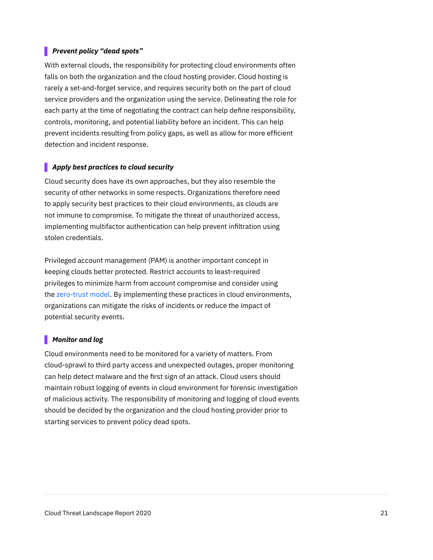#### *Prevent policy "dead spots"*

With external clouds, the responsibility for protecting cloud environments often falls on both the organization and the cloud hosting provider. Cloud hosting is rarely a set-and-forget service, and requires security both on the part of cloud service providers and the organization using the service. Delineating the role for each party at the time of negotiating the contract can help define responsibility, controls, monitoring, and potential liability before an incident. This can help prevent incidents resulting from policy gaps, as well as allow for more efficient detection and incident response.

#### *Apply best practices to cloud security*

Cloud security does have its own approaches, but they also resemble the security of other networks in some respects. Organizations therefore need to apply security best practices to their cloud environments, as clouds are not immune to compromise. To mitigate the threat of unauthorized access, implementing multifactor authentication can help prevent infiltration using stolen credentials.

Privileged account management (PAM) is another important concept in keeping clouds better protected. Restrict accounts to least-required privileges to minimize harm from account compromise and consider using the [zero-trust model](https://www.ibm.com/security/zero-trust?cm_sp=CTO-_-en-US-_-Z81AVOY7). By implementing these practices in cloud environments, organizations can mitigate the risks of incidents or reduce the impact of potential security events.

#### *Monitor and log*

Cloud environments need to be monitored for a variety of matters. From cloud-sprawl to third party access and unexpected outages, proper monitoring can help detect malware and the first sign of an attack. Cloud users should maintain robust logging of events in cloud environment for forensic investigation of malicious activity. The responsibility of monitoring and logging of cloud events should be decided by the organization and the cloud hosting provider prior to starting services to prevent policy dead spots.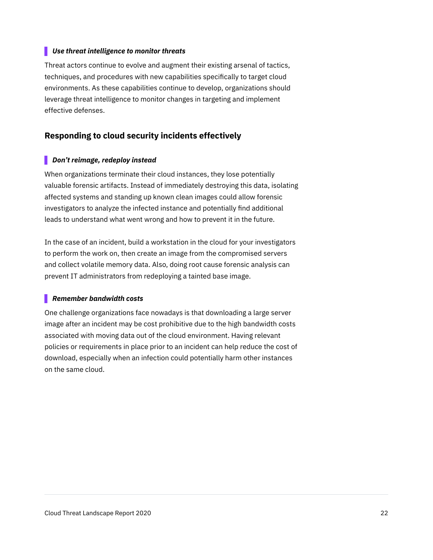#### *Use threat intelligence to monitor threats*

Threat actors continue to evolve and augment their existing arsenal of tactics, techniques, and procedures with new capabilities specifically to target cloud environments. As these capabilities continue to develop, organizations should leverage threat intelligence to monitor changes in targeting and implement effective defenses.

#### **Responding to cloud security incidents effectively**

#### *Don't reimage, redeploy instead*

When organizations terminate their cloud instances, they lose potentially valuable forensic artifacts. Instead of immediately destroying this data, isolating affected systems and standing up known clean images could allow forensic investigators to analyze the infected instance and potentially find additional leads to understand what went wrong and how to prevent it in the future.

In the case of an incident, build a workstation in the cloud for your investigators to perform the work on, then create an image from the compromised servers and collect volatile memory data. Also, doing root cause forensic analysis can prevent IT administrators from redeploying a tainted base image.

#### *Remember bandwidth costs*

One challenge organizations face nowadays is that downloading a large server image after an incident may be cost prohibitive due to the high bandwidth costs associated with moving data out of the cloud environment. Having relevant policies or requirements in place prior to an incident can help reduce the cost of download, especially when an infection could potentially harm other instances on the same cloud.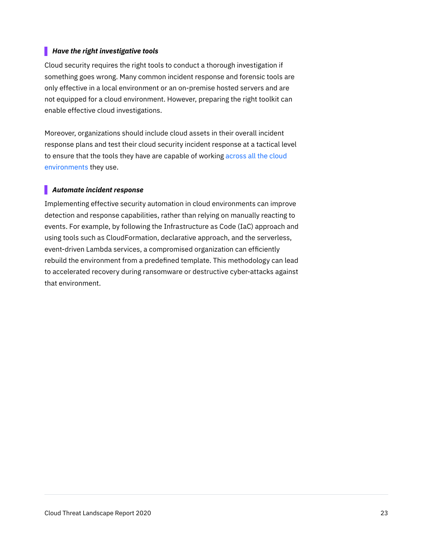#### *Have the right investigative tools*

Cloud security requires the right tools to conduct a thorough investigation if something goes wrong. Many common incident response and forensic tools are only effective in a local environment or an on-premise hosted servers and are not equipped for a cloud environment. However, preparing the right toolkit can enable effective cloud investigations.

Moreover, organizations should include cloud assets in their overall incident response plans and test their cloud security incident response at a tactical level to ensure that the tools they have are capable of working across all the cloud [environments](https://www.ibm.com/products/cloud-pak-for-security?cm_sp=CTO-_-en-US-_-Z81AVOY7) they use.

#### *Automate incident response*

Implementing effective security automation in cloud environments can improve detection and response capabilities, rather than relying on manually reacting to events. For example, by following the Infrastructure as Code (IaC) approach and using tools such as CloudFormation, declarative approach, and the serverless, event-driven Lambda services, a compromised organization can efficiently rebuild the environment from a predefined template. This methodology can lead to accelerated recovery during ransomware or destructive cyber-attacks against that environment.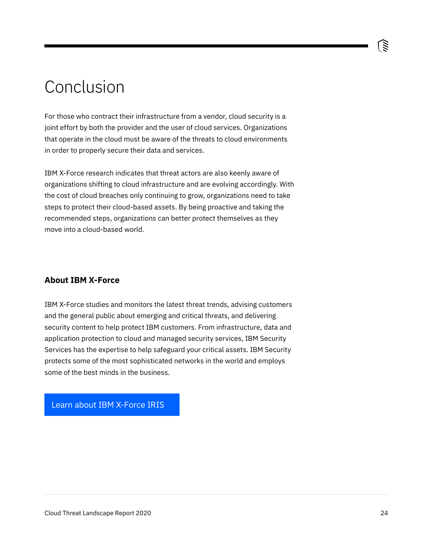### <span id="page-23-0"></span>Conclusion

For those who contract their infrastructure from a vendor, cloud security is a joint effort by both the provider and the user of cloud services. Organizations that operate in the cloud must be aware of the threats to cloud environments in order to properly secure their data and services.

IBM X-Force research indicates that threat actors are also keenly aware of organizations shifting to cloud infrastructure and are evolving accordingly. With the cost of cloud breaches only continuing to grow, organizations need to take steps to protect their cloud-based assets. By being proactive and taking the recommended steps, organizations can better protect themselves as they move into a cloud-based world.

#### **About IBM X-Force**

IBM X-Force studies and monitors the latest threat trends, advising customers and the general public about emerging and critical threats, and delivering security content to help protect IBM customers. From infrastructure, data and application protection to cloud and managed security services, IBM Security Services has the expertise to help safeguard your critical assets. IBM Security protects some of the most sophisticated networks in the world and employs some of the best minds in the business.

[Learn about IBM X-Force IRIS](https://www.ibm.com/security/services/ibm-x-force-incident-response-and-intelligence?cm_sp=CTO-_-en-US-_-Z81AVOY7)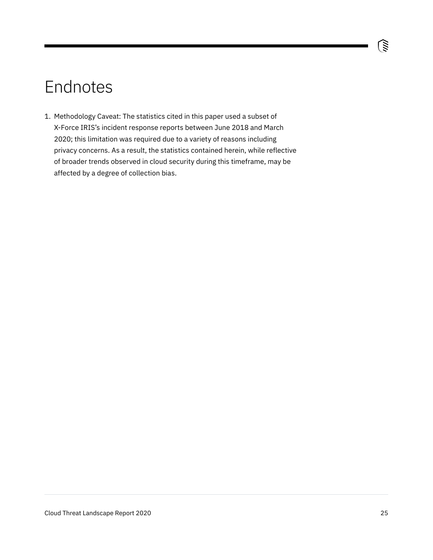### <span id="page-24-0"></span>Endnotes

1. Methodology Caveat: The statistics cited in this paper used a subset of X-Force IRIS's incident response reports between June 2018 and March 2020; this limitation was required due to a variety of reasons including privacy concerns. As a result, the statistics contained herein, while reflective of broader trends observed in cloud security during this timeframe, may be affected by a degree of collection bias.

ভি